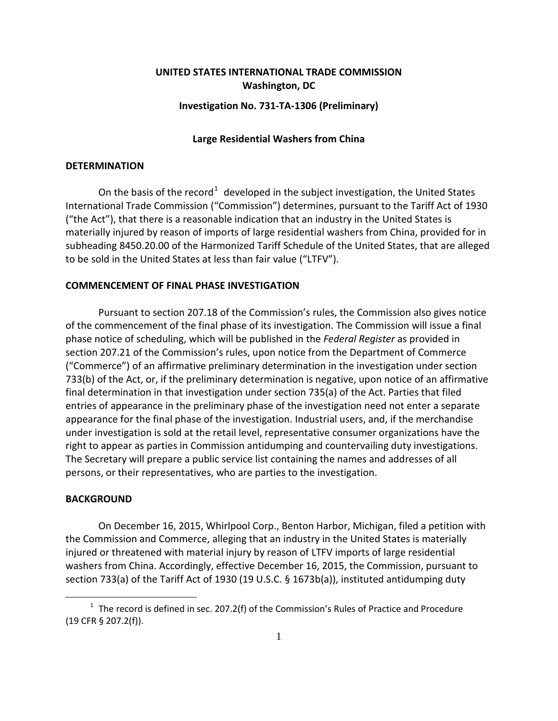# **UNITED STATES INTERNATIONAL TRADE COMMISSION Washington, DC**

#### **Investigation No. 731-TA-1306 (Preliminary)**

## **Large Residential Washers from China**

### **DETERMINATION**

On the basis of the record<sup>[1](#page-0-0)</sup> developed in the subject investigation, the United States International Trade Commission ("Commission") determines, pursuant to the Tariff Act of 1930 ("the Act"), that there is a reasonable indication that an industry in the United States is materially injured by reason of imports of large residential washers from China, provided for in subheading 8450.20.00 of the Harmonized Tariff Schedule of the United States, that are alleged to be sold in the United States at less than fair value ("LTFV").

## **COMMENCEMENT OF FINAL PHASE INVESTIGATION**

Pursuant to section 207.18 of the Commission's rules, the Commission also gives notice of the commencement of the final phase of its investigation. The Commission will issue a final phase notice of scheduling, which will be published in the *Federal Register* as provided in section 207.21 of the Commission's rules, upon notice from the Department of Commerce ("Commerce") of an affirmative preliminary determination in the investigation under section 733(b) of the Act, or, if the preliminary determination is negative, upon notice of an affirmative final determination in that investigation under section 735(a) of the Act. Parties that filed entries of appearance in the preliminary phase of the investigation need not enter a separate appearance for the final phase of the investigation. Industrial users, and, if the merchandise under investigation is sold at the retail level, representative consumer organizations have the right to appear as parties in Commission antidumping and countervailing duty investigations. The Secretary will prepare a public service list containing the names and addresses of all persons, or their representatives, who are parties to the investigation.

#### **BACKGROUND**

 $\overline{a}$ 

On December 16, 2015, Whirlpool Corp., Benton Harbor, Michigan, filed a petition with the Commission and Commerce, alleging that an industry in the United States is materially injured or threatened with material injury by reason of LTFV imports of large residential washers from China. Accordingly, effective December 16, 2015, the Commission, pursuant to section 733(a) of the Tariff Act of 1930 (19 U.S.C. § 1673b(a)), instituted antidumping duty

<span id="page-0-0"></span> $1$  The record is defined in sec. 207.2(f) of the Commission's Rules of Practice and Procedure (19 CFR § 207.2(f)).